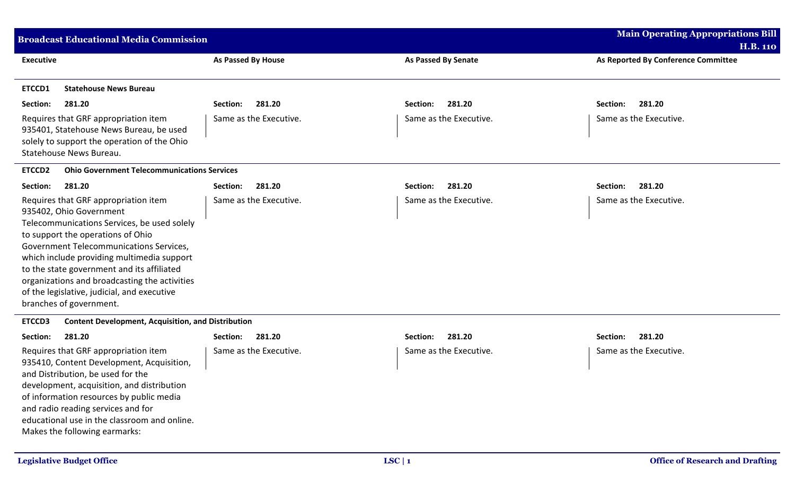| <b>Broadcast Educational Media Commission</b>                                                                                                                                                                                                                                                                                                                                                                         | <b>Main Operating Appropriations Bill</b><br><b>H.B. 110</b> |                            |                                     |  |
|-----------------------------------------------------------------------------------------------------------------------------------------------------------------------------------------------------------------------------------------------------------------------------------------------------------------------------------------------------------------------------------------------------------------------|--------------------------------------------------------------|----------------------------|-------------------------------------|--|
| <b>Executive</b>                                                                                                                                                                                                                                                                                                                                                                                                      | <b>As Passed By House</b>                                    | <b>As Passed By Senate</b> | As Reported By Conference Committee |  |
| ETCCD1<br><b>Statehouse News Bureau</b>                                                                                                                                                                                                                                                                                                                                                                               |                                                              |                            |                                     |  |
| 281.20<br>Section:                                                                                                                                                                                                                                                                                                                                                                                                    | 281.20<br>Section:                                           | 281.20<br>Section:         | Section:<br>281.20                  |  |
| Requires that GRF appropriation item<br>935401, Statehouse News Bureau, be used<br>solely to support the operation of the Ohio<br>Statehouse News Bureau.                                                                                                                                                                                                                                                             | Same as the Executive.                                       | Same as the Executive.     | Same as the Executive.              |  |
| <b>Ohio Government Telecommunications Services</b><br><b>ETCCD2</b>                                                                                                                                                                                                                                                                                                                                                   |                                                              |                            |                                     |  |
| 281.20<br>Section:                                                                                                                                                                                                                                                                                                                                                                                                    | Section:<br>281.20                                           | 281.20<br>Section:         | 281.20<br>Section:                  |  |
| Requires that GRF appropriation item<br>935402, Ohio Government<br>Telecommunications Services, be used solely<br>to support the operations of Ohio<br>Government Telecommunications Services,<br>which include providing multimedia support<br>to the state government and its affiliated<br>organizations and broadcasting the activities<br>of the legislative, judicial, and executive<br>branches of government. | Same as the Executive.                                       | Same as the Executive.     | Same as the Executive.              |  |
| ETCCD3<br><b>Content Development, Acquisition, and Distribution</b>                                                                                                                                                                                                                                                                                                                                                   |                                                              |                            |                                     |  |
| 281.20<br>Section:                                                                                                                                                                                                                                                                                                                                                                                                    | 281.20<br>Section:                                           | 281.20<br>Section:         | 281.20<br>Section:                  |  |
| Requires that GRF appropriation item<br>935410, Content Development, Acquisition,<br>and Distribution, be used for the<br>development, acquisition, and distribution<br>of information resources by public media<br>and radio reading services and for<br>educational use in the classroom and online.<br>Makes the following earmarks:                                                                               | Same as the Executive.                                       | Same as the Executive.     | Same as the Executive.              |  |